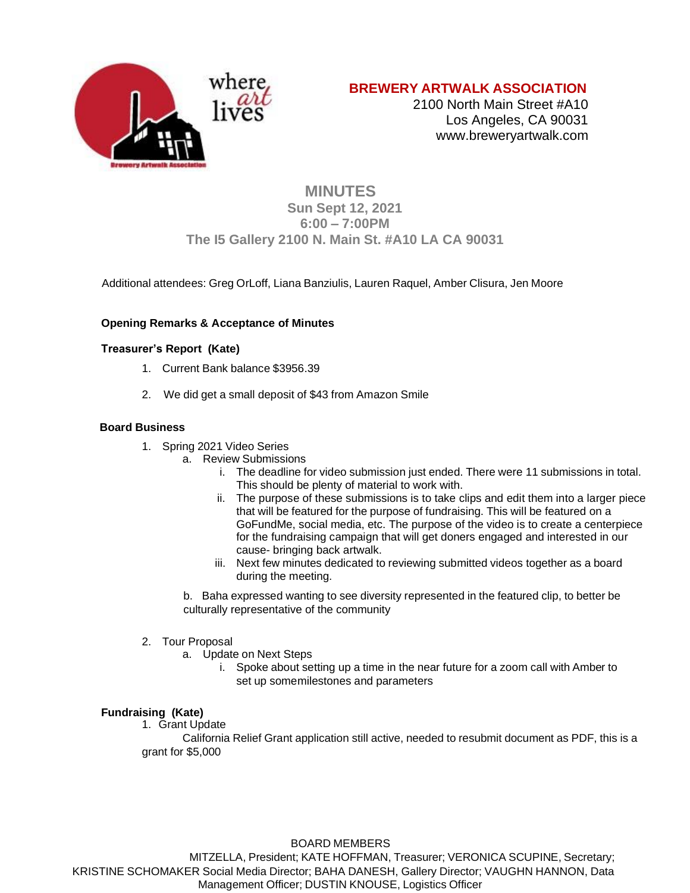

# **BREWERY ARTWALK ASSOCIATION**

2100 North Main Street #A10 Los Angeles, CA 90031 [www.breweryartwalk.com](http://www.breweryartwalk.com/)

# **MINUTES Sun Sept 12, 2021 6:00 – 7:00PM The I5 Gallery 2100 N. Main St. #A10 LA CA 90031**

Additional attendees: Greg OrLoff, Liana Banziulis, Lauren Raquel, Amber Clisura, Jen Moore

## **Opening Remarks & Acceptance of Minutes**

## **Treasurer's Report (Kate)**

- 1. Current Bank balance \$3956.39
- 2. We did get a small deposit of \$43 from Amazon Smile

### **Board Business**

- 1. Spring 2021 Video Series
	- a. Review Submissions
		- i. The deadline for video submission just ended. There were 11 submissions in total. This should be plenty of material to work with.
		- ii. The purpose of these submissions is to take clips and edit them into a larger piece that will be featured for the purpose of fundraising. This will be featured on a GoFundMe, social media, etc. The purpose of the video is to create a centerpiece for the fundraising campaign that will get doners engaged and interested in our cause- bringing back artwalk.
		- iii. Next few minutes dedicated to reviewing submitted videos together as a board during the meeting.

b. Baha expressed wanting to see diversity represented in the featured clip, to better be culturally representative of the community

- 2. Tour Proposal
	- a. Update on Next Steps
		- i. Spoke about setting up a time in the near future for a zoom call with Amber to set up somemilestones and parameters

## **Fundraising (Kate)**

1. Grant Update

California Relief Grant application still active, needed to resubmit document as PDF, this is a grant for \$5,000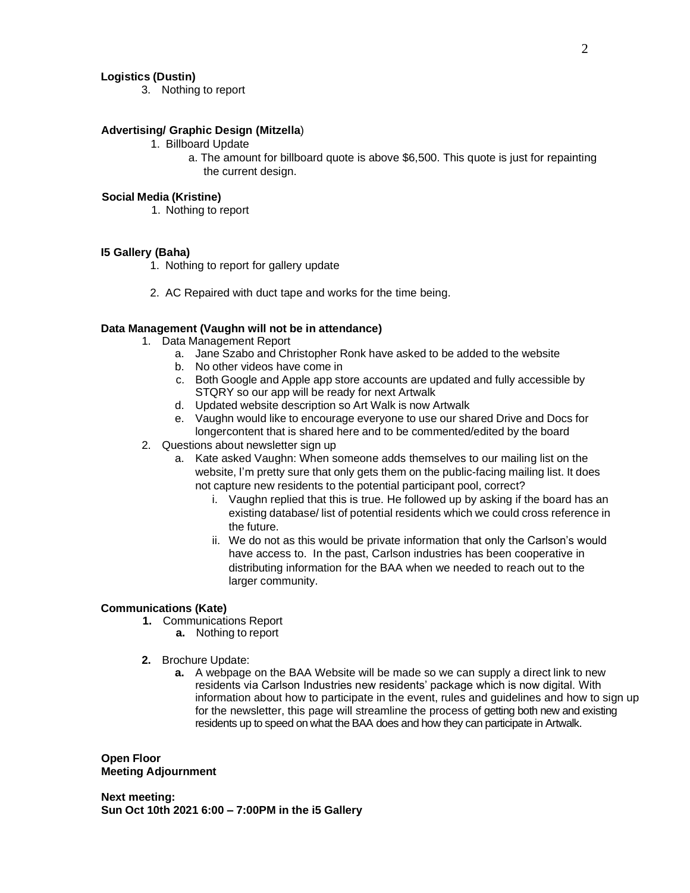### **Logistics (Dustin)**

3. Nothing to report

### **Advertising/ Graphic Design (Mitzella**)

- 1. Billboard Update
	- a. The amount for billboard quote is above \$6,500. This quote is just for repainting the current design.

#### **Social Media (Kristine)**

1. Nothing to report

#### **I5 Gallery (Baha)**

- 1. Nothing to report for gallery update
- 2. AC Repaired with duct tape and works for the time being.

### **Data Management (Vaughn will not be in attendance)**

- 1. Data Management Report
	- a. Jane Szabo and Christopher Ronk have asked to be added to the website
	- b. No other videos have come in
	- c. Both Google and Apple app store accounts are updated and fully accessible by STQRY so our app will be ready for next Artwalk
	- d. Updated website description so Art Walk is now Artwalk
	- e. Vaughn would like to encourage everyone to use our shared Drive and Docs for longercontent that is shared here and to be commented/edited by the board
- 2. Questions about newsletter sign up
	- a. Kate asked Vaughn: When someone adds themselves to our mailing list on the website, I'm pretty sure that only gets them on the public-facing mailing list. It does not capture new residents to the potential participant pool, correct?
		- i. Vaughn replied that this is true. He followed up by asking if the board has an existing database/ list of potential residents which we could cross reference in the future.
		- ii. We do not as this would be private information that only the Carlson's would have access to. In the past, Carlson industries has been cooperative in distributing information for the BAA when we needed to reach out to the larger community.

### **Communications (Kate)**

- **1.** Communications Report
	- **a.** Nothing to report
- **2.** Brochure Update:
	- **a.** A webpage on the BAA Website will be made so we can supply a direct link to new residents via Carlson Industries new residents' package which is now digital. With information about how to participate in the event, rules and guidelines and how to sign up for the newsletter, this page will streamline the process of getting both new and existing residents up to speed on what the BAA does and how they can participate in Artwalk.

**Open Floor Meeting Adjournment**

**Next meeting: Sun Oct 10th 2021 6:00 – 7:00PM in the i5 Gallery**